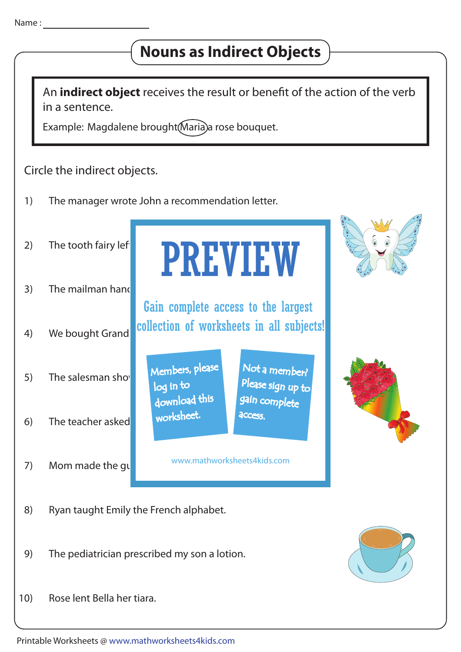